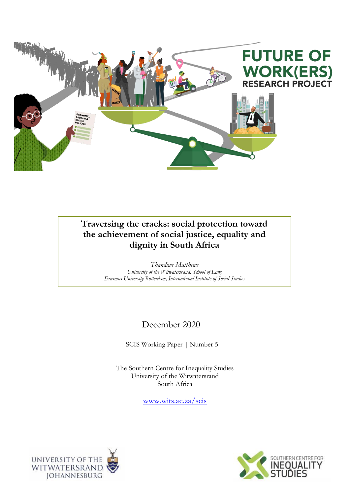

## **Traversing the cracks: social protection toward the achievement of social justice, equality and dignity in South Africa**

*Thandiwe Matthews University of the Witwatersrand, School of Law; Erasmus University Rotterdam, International Institute of Social Studies*

# December 2020

SCIS Working Paper | Number 5

The Southern Centre for Inequality Studies University of the Witwatersrand South Africa

[www.wits.ac.za/scis](http://www.wits.ac.za/scis)



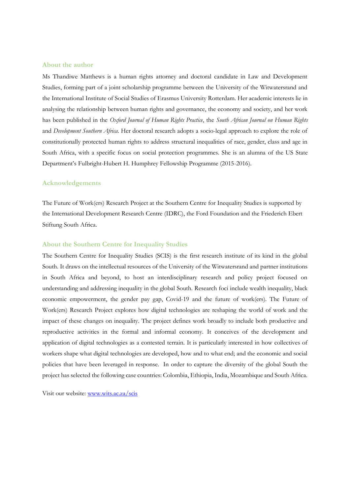#### **About the author**

Ms Thandiwe Matthews is a human rights attorney and doctoral candidate in Law and Development Studies, forming part of a joint scholarship programme between the University of the Witwatersrand and the International Institute of Social Studies of Erasmus University Rotterdam. Her academic interests lie in analysing the relationship between human rights and governance, the economy and society, and her work has been published in the *Oxford Journal of Human Rights Practice*, the *South African Journal on Human Rights* and *Development Southern Africa*. Her doctoral research adopts a socio-legal approach to explore the role of constitutionally protected human rights to address structural inequalities of race, gender, class and age in South Africa, with a specific focus on social protection programmes. She is an alumna of the US State Department's Fulbright-Hubert H. Humphrey Fellowship Programme (2015-2016).

#### **Acknowledgements**

The Future of Work(ers) Research Project at the Southern Centre for Inequality Studies is supported by the International Development Research Centre (IDRC), the Ford Foundation and the Friederich Ebert Stiftung South Africa.

#### **About the Southern Centre for Inequality Studies**

The Southern Centre for Inequality Studies (SCIS) is the first research institute of its kind in the global South. It draws on the intellectual resources of the University of the Witwatersrand and partner institutions in South Africa and beyond, to host an interdisciplinary research and policy project focused on understanding and addressing inequality in the global South. Research foci include wealth inequality, black economic empowerment, the gender pay gap, Covid-19 and the future of work(ers). The Future of Work(ers) Research Project explores how digital technologies are reshaping the world of work and the impact of these changes on inequality. The project defines work broadly to include both productive and reproductive activities in the formal and informal economy. It conceives of the development and application of digital technologies as a contested terrain. It is particularly interested in how collectives of workers shape what digital technologies are developed, how and to what end; and the economic and social policies that have been leveraged in response. In order to capture the diversity of the global South the project has selected the following case countries: Colombia, Ethiopia, India, Mozambique and South Africa.

Visit our website: [www.wits.ac.za/scis](http://www.wits.ac.za/scis)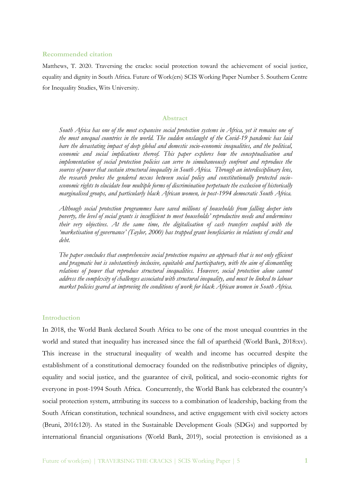## **Recommended citation**

Matthews, T. 2020. Traversing the cracks: social protection toward the achievement of social justice, equality and dignity in South Africa. Future of Work(ers) SCIS Working Paper Number 5. Southern Centre for Inequality Studies, Wits University.

## **Abstract**

*South Africa has one of the most expansive social protection systems in Africa, yet it remains one of the most unequal countries in the world. The sudden onslaught of the Covid-19 pandemic has laid bare the devastating impact of deep global and domestic socio-economic inequalities, and the political, economic and social implications thereof. This paper explores how the conceptualisation and implementation of social protection policies can serve to simultaneously confront and reproduce the sources of power that sustain structural inequality in South Africa. Through an interdisciplinary lens, the research probes the gendered nexus between social policy and constitutionally protected socioeconomic rights to elucidate how multiple forms of discrimination perpetuate the exclusion of historically marginalised groups, and particularly black African women, in post-1994 democratic South Africa.*

*Although social protection programmes have saved millions of households from falling deeper into poverty, the level of social grants is insufficient to meet households' reproductive needs and undermines their very objectives. At the same time, the digitalisation of cash transfers coupled with the 'marketisation of governance' (Taylor, 2000) has trapped grant beneficiaries in relations of credit and debt.*

*The paper concludes that comprehensive social protection requires an approach that is not only efficient and pragmatic but is substantively inclusive, equitable and participatory, with the aim of dismantling relations of power that reproduce structural inequalities. However, social protection alone cannot address the complexity of challenges associated with structural inequality, and must be linked to labour market policies geared at improving the conditions of work for black African women in South Africa.*

## **Introduction**

In 2018, the World Bank declared South Africa to be one of the most unequal countries in the world and stated that inequality has increased since the fall of apartheid (World Bank, 2018:xv). This increase in the structural inequality of wealth and income has occurred despite the establishment of a constitutional democracy founded on the redistributive principles of dignity, equality and social justice, and the guarantee of civil, political, and socio-economic rights for everyone in post-1994 South Africa. Concurrently, the World Bank has celebrated the country's social protection system, attributing its success to a combination of leadership, backing from the South African constitution, technical soundness, and active engagement with civil society actors (Bruni, 2016:120). As stated in the Sustainable Development Goals (SDGs) and supported by international financial organisations (World Bank, 2019), social protection is envisioned as a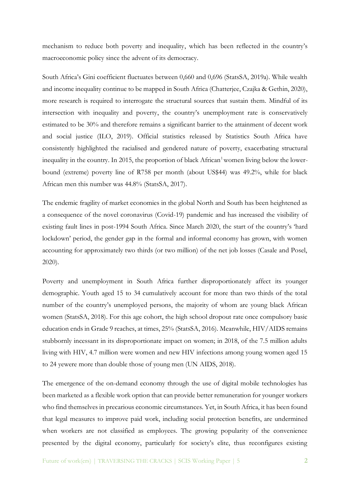mechanism to reduce both poverty and inequality, which has been reflected in the country's macroeconomic policy since the advent of its democracy.

South Africa's Gini coefficient fluctuates between 0,660 and 0,696 (StatsSA, 2019a). While wealth and income inequality continue to be mapped in South Africa (Chatterjee, Czajka & Gethin, 2020), more research is required to interrogate the structural sources that sustain them. Mindful of its intersection with inequality and poverty, the country's unemployment rate is conservatively estimated to be 30% and therefore remains a significant barrier to the attainment of decent work and social justice (ILO, 2019). Official statistics released by Statistics South Africa have consistently highlighted the racialised and gendered nature of poverty, exacerbating structural inequality in the country. In 2015, the proportion of black  $A$ frican<sup>1</sup> women living below the lowerbound (extreme) poverty line of R758 per month (about US\$44) was 49.2%, while for black African men this number was 44.8% (StatsSA, 2017).

The endemic fragility of market economies in the global North and South has been heightened as a consequence of the novel coronavirus (Covid-19) pandemic and has increased the visibility of existing fault lines in post-1994 South Africa. Since March 2020, the start of the country's 'hard lockdown' period, the gender gap in the formal and informal economy has grown, with women accounting for approximately two thirds (or two million) of the net job losses (Casale and Posel, 2020).

Poverty and unemployment in South Africa further disproportionately affect its younger demographic. Youth aged 15 to 34 cumulatively account for more than two thirds of the total number of the country's unemployed persons, the majority of whom are young black African women (StatsSA, 2018). For this age cohort, the high school dropout rate once compulsory basic education ends in Grade 9 reaches, at times, 25% (StatsSA, 2016). Meanwhile, HIV/AIDS remains stubbornly incessant in its disproportionate impact on women; in 2018, of the 7.5 million adults living with HIV, 4.7 million were women and new HIV infections among young women aged 15 to 24 yewere more than double those of young men (UN AIDS, 2018).

The emergence of the on-demand economy through the use of digital mobile technologies has been marketed as a flexible work option that can provide better remuneration for younger workers who find themselves in precarious economic circumstances. Yet, in South Africa, it has been found that legal measures to improve paid work, including social protection benefits, are undermined when workers are not classified as employees. The growing popularity of the convenience presented by the digital economy, particularly for society's elite, thus reconfigures existing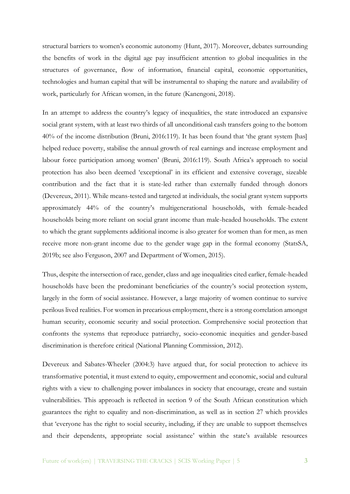structural barriers to women's economic autonomy (Hunt, 2017). Moreover, debates surrounding the benefits of work in the digital age pay insufficient attention to global inequalities in the structures of governance, flow of information, financial capital, economic opportunities, technologies and human capital that will be instrumental to shaping the nature and availability of work, particularly for African women, in the future (Kanengoni, 2018).

In an attempt to address the country's legacy of inequalities, the state introduced an expansive social grant system, with at least two thirds of all unconditional cash transfers going to the bottom 40% of the income distribution (Bruni, 2016:119). It has been found that 'the grant system [has] helped reduce poverty, stabilise the annual growth of real earnings and increase employment and labour force participation among women' (Bruni, 2016:119). South Africa's approach to social protection has also been deemed 'exceptional' in its efficient and extensive coverage, sizeable contribution and the fact that it is state-led rather than externally funded through donors (Devereux, 2011). While means-tested and targeted at individuals, the social grant system supports approximately 44% of the country's multigenerational households, with female-headed households being more reliant on social grant income than male-headed households. The extent to which the grant supplements additional income is also greater for women than for men, as men receive more non-grant income due to the gender wage gap in the formal economy (StatsSA, 2019b; see also Ferguson, 2007 and Department of Women, 2015).

Thus, despite the intersection of race, gender, class and age inequalities cited earlier, female-headed households have been the predominant beneficiaries of the country's social protection system, largely in the form of social assistance. However, a large majority of women continue to survive perilous lived realities. For women in precarious employment, there is a strong correlation amongst human security, economic security and social protection. Comprehensive social protection that confronts the systems that reproduce patriarchy, socio-economic inequities and gender-based discrimination is therefore critical (National Planning Commission, 2012).

Devereux and Sabates-Wheeler (2004:3) have argued that, for social protection to achieve its transformative potential, it must extend to equity, empowerment and economic, social and cultural rights with a view to challenging power imbalances in society that encourage, create and sustain vulnerabilities. This approach is reflected in section 9 of the South African constitution which guarantees the right to equality and non-discrimination, as well as in section 27 which provides that 'everyone has the right to social security, including, if they are unable to support themselves and their dependents, appropriate social assistance' within the state's available resources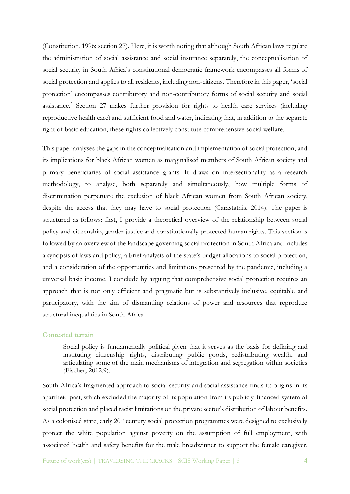(Constitution, 1996: section 27). Here, it is worth noting that although South African laws regulate the administration of social assistance and social insurance separately, the conceptualisation of social security in South Africa's constitutional democratic framework encompasses all forms of social protection and applies to all residents, including non-citizens. Therefore in this paper, 'social protection' encompasses contributory and non-contributory forms of social security and social assistance.<sup>2</sup> Section 27 makes further provision for rights to health care services (including reproductive health care) and sufficient food and water, indicating that, in addition to the separate right of basic education, these rights collectively constitute comprehensive social welfare.

This paper analyses the gaps in the conceptualisation and implementation of social protection, and its implications for black African women as marginalised members of South African society and primary beneficiaries of social assistance grants. It draws on intersectionality as a research methodology, to analyse, both separately and simultaneously, how multiple forms of discrimination perpetuate the exclusion of black African women from South African society, despite the access that they may have to social protection (Carastathis, 2014). The paper is structured as follows: first, I provide a theoretical overview of the relationship between social policy and citizenship, gender justice and constitutionally protected human rights. This section is followed by an overview of the landscape governing social protection in South Africa and includes a synopsis of laws and policy, a brief analysis of the state's budget allocations to social protection, and a consideration of the opportunities and limitations presented by the pandemic, including a universal basic income. I conclude by arguing that comprehensive social protection requires an approach that is not only efficient and pragmatic but is substantively inclusive, equitable and participatory, with the aim of dismantling relations of power and resources that reproduce structural inequalities in South Africa.

## **Contested terrain**

Social policy is fundamentally political given that it serves as the basis for defining and instituting citizenship rights, distributing public goods, redistributing wealth, and articulating some of the main mechanisms of integration and segregation within societies (Fischer, 2012:9).

South Africa's fragmented approach to social security and social assistance finds its origins in its apartheid past, which excluded the majority of its population from its publicly-financed system of social protection and placed racist limitations on the private sector's distribution of labour benefits. As a colonised state, early  $20<sup>th</sup>$  century social protection programmes were designed to exclusively protect the white population against poverty on the assumption of full employment, with associated health and safety benefits for the male breadwinner to support the female caregiver,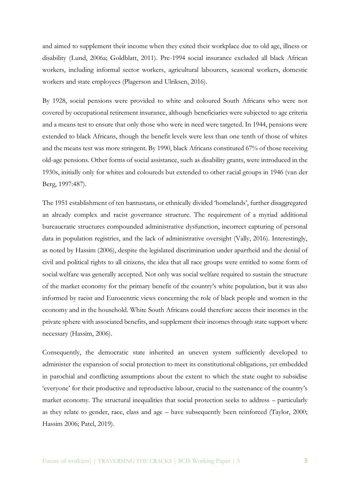and aimed to supplement their income when they exited their workplace due to old age, illness or disability (Lund, 2006a; Goldblatt, 2011). Pre-1994 social insurance excluded all black African workers, including informal sector workers, agricultural labourers, seasonal workers, domestic workers and state employees (Plagerson and Ulriksen, 2016).

By 1928, social pensions were provided to white and coloured South Africans who were not covered by occupational retirement insurance, although beneficiaries were subjected to age criteria and a means test to ensure that only those who were in need were targeted. In 1944, pensions were extended to black Africans, though the benefit levels were less than one tenth of those of whites and the means test was more stringent. By 1990, black Africans constituted 67% of those receiving old-age pensions. Other forms of social assistance, such as disability grants, were introduced in the 1930s, initially only for whites and coloureds but extended to other racial groups in 1946 (van der Berg, 1997:487).

The 1951 establishment of ten bantustans, or ethnically divided 'homelands', further disaggregated an already complex and racist governance structure. The requirement of a myriad additional bureaucratic structures compounded administrative dysfunction, incorrect capturing of personal data in population registries, and the lack of administrative oversight (Vally, 2016). Interestingly, as noted by Hassim (2006), despite the legislated discrimination under apartheid and the denial of civil and political rights to all citizens, the idea that all race groups were entitled to some form of social welfare was generally accepted. Not only was social welfare required to sustain the structure of the market economy for the primary benefit of the country's white population, but it was also informed by racist and Eurocentric views concerning the role of black people and women in the economy and in the household. White South Africans could therefore access their incomes in the private sphere with associated benefits, and supplement their incomes through state support where necessary (Hassim, 2006).

Consequently, the democratic state inherited an uneven system sufficiently developed to administer the expansion of social protection to meet its constitutional obligations, yet embedded in parochial and conflicting assumptions about the extent to which the state ought to subsidise 'everyone' for their productive and reproductive labour, crucial to the sustenance of the country's market economy. The structural inequalities that social protection seeks to address – particularly as they relate to gender, race, class and age – have subsequently been reinforced (Taylor, 2000; Hassim 2006; Patel, 2019).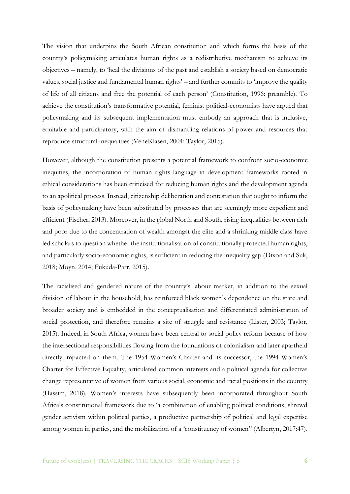The vision that underpins the South African constitution and which forms the basis of the country's policymaking articulates human rights as a redistributive mechanism to achieve its objectives – namely, to 'heal the divisions of the past and establish a society based on democratic values, social justice and fundamental human rights' – and further commits to 'improve the quality of life of all citizens and free the potential of each person' (Constitution, 1996: preamble). To achieve the constitution's transformative potential, feminist political-economists have argued that policymaking and its subsequent implementation must embody an approach that is inclusive, equitable and participatory, with the aim of dismantling relations of power and resources that reproduce structural inequalities (VeneKlasen, 2004; Taylor, 2015).

However, although the constitution presents a potential framework to confront socio-economic inequities, the incorporation of human rights language in development frameworks rooted in ethical considerations has been criticised for reducing human rights and the development agenda to an apolitical process. Instead, citizenship deliberation and contestation that ought to inform the basis of policymaking have been substituted by processes that are seemingly more expedient and efficient (Fischer, 2013). Moreover, in the global North and South, rising inequalities between rich and poor due to the concentration of wealth amongst the elite and a shrinking middle class have led scholars to question whether the institutionalisation of constitutionally protected human rights, and particularly socio-economic rights, is sufficient in reducing the inequality gap (Dixon and Suk, 2018; Moyn, 2014; Fukuda-Parr, 2015).

The racialised and gendered nature of the country's labour market, in addition to the sexual division of labour in the household, has reinforced black women's dependence on the state and broader society and is embedded in the conceptualisation and differentiated administration of social protection, and therefore remains a site of struggle and resistance (Lister, 2003; Taylor, 2015). Indeed, in South Africa, women have been central to social policy reform because of how the intersectional responsibilities flowing from the foundations of colonialism and later apartheid directly impacted on them. The 1954 Women's Charter and its successor, the 1994 Women's Charter for Effective Equality, articulated common interests and a political agenda for collective change representative of women from various social, economic and racial positions in the country (Hassim, 2018). Women's interests have subsequently been incorporated throughout South Africa's constitutional framework due to 'a combination of enabling political conditions, shrewd gender activism within political parties, a productive partnership of political and legal expertise among women in parties, and the mobilization of a 'constituency of women'' (Albertyn, 2017:47).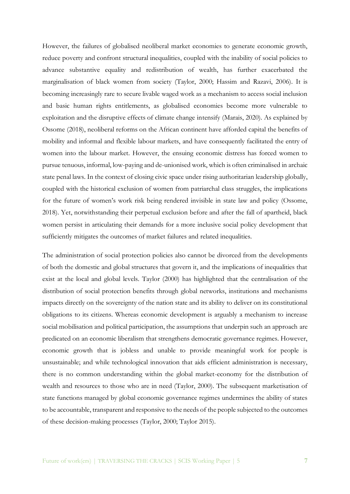However, the failures of globalised neoliberal market economies to generate economic growth, reduce poverty and confront structural inequalities, coupled with the inability of social policies to advance substantive equality and redistribution of wealth, has further exacerbated the marginalisation of black women from society (Taylor, 2000; Hassim and Razavi, 2006). It is becoming increasingly rare to secure livable waged work as a mechanism to access social inclusion and basic human rights entitlements, as globalised economies become more vulnerable to exploitation and the disruptive effects of climate change intensify (Marais, 2020). As explained by Ossome (2018), neoliberal reforms on the African continent have afforded capital the benefits of mobility and informal and flexible labour markets, and have consequently facilitated the entry of women into the labour market. However, the ensuing economic distress has forced women to pursue tenuous, informal, low-paying and de-unionised work, which is often criminalised in archaic state penal laws. In the context of closing civic space under rising authoritarian leadership globally, coupled with the historical exclusion of women from patriarchal class struggles, the implications for the future of women's work risk being rendered invisible in state law and policy (Ossome, 2018). Yet, notwithstanding their perpetual exclusion before and after the fall of apartheid, black women persist in articulating their demands for a more inclusive social policy development that sufficiently mitigates the outcomes of market failures and related inequalities.

The administration of social protection policies also cannot be divorced from the developments of both the domestic and global structures that govern it, and the implications of inequalities that exist at the local and global levels. Taylor (2000) has highlighted that the centralisation of the distribution of social protection benefits through global networks, institutions and mechanisms impacts directly on the sovereignty of the nation state and its ability to deliver on its constitutional obligations to its citizens. Whereas economic development is arguably a mechanism to increase social mobilisation and political participation, the assumptions that underpin such an approach are predicated on an economic liberalism that strengthens democratic governance regimes. However, economic growth that is jobless and unable to provide meaningful work for people is unsustainable; and while technological innovation that aids efficient administration is necessary, there is no common understanding within the global market-economy for the distribution of wealth and resources to those who are in need (Taylor, 2000). The subsequent marketisation of state functions managed by global economic governance regimes undermines the ability of states to be accountable, transparent and responsive to the needs of the people subjected to the outcomes of these decision-making processes (Taylor, 2000; Taylor 2015).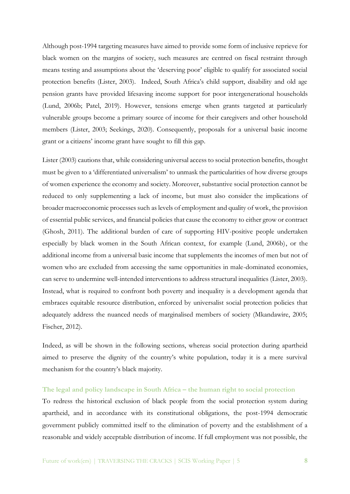Although post-1994 targeting measures have aimed to provide some form of inclusive reprieve for black women on the margins of society, such measures are centred on fiscal restraint through means testing and assumptions about the 'deserving poor' eligible to qualify for associated social protection benefits (Lister, 2003). Indeed, South Africa's child support, disability and old age pension grants have provided lifesaving income support for poor intergenerational households (Lund, 2006b; Patel, 2019). However, tensions emerge when grants targeted at particularly vulnerable groups become a primary source of income for their caregivers and other household members (Lister, 2003; Seekings, 2020). Consequently, proposals for a universal basic income grant or a citizens' income grant have sought to fill this gap.

Lister (2003) cautions that, while considering universal access to social protection benefits, thought must be given to a 'differentiated universalism' to unmask the particularities of how diverse groups of women experience the economy and society. Moreover, substantive social protection cannot be reduced to only supplementing a lack of income, but must also consider the implications of broader macroeconomic processes such as levels of employment and quality of work, the provision of essential public services, and financial policies that cause the economy to either grow or contract (Ghosh, 2011). The additional burden of care of supporting HIV-positive people undertaken especially by black women in the South African context, for example (Lund, 2006b), or the additional income from a universal basic income that supplements the incomes of men but not of women who are excluded from accessing the same opportunities in male-dominated economies, can serve to undermine well-intended interventions to address structural inequalities (Lister, 2003). Instead, what is required to confront both poverty and inequality is a development agenda that embraces equitable resource distribution, enforced by universalist social protection policies that adequately address the nuanced needs of marginalised members of society (Mkandawire, 2005; Fischer, 2012).

Indeed, as will be shown in the following sections, whereas social protection during apartheid aimed to preserve the dignity of the country's white population, today it is a mere survival mechanism for the country's black majority.

## **The legal and policy landscape in South Africa – the human right to social protection**

To redress the historical exclusion of black people from the social protection system during apartheid, and in accordance with its constitutional obligations, the post-1994 democratic government publicly committed itself to the elimination of poverty and the establishment of a reasonable and widely acceptable distribution of income. If full employment was not possible, the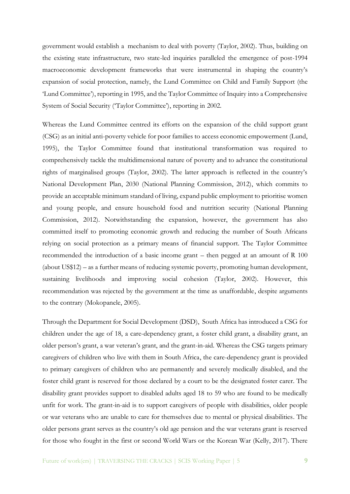government would establish a mechanism to deal with poverty (Taylor, 2002). Thus, building on the existing state infrastructure, two state-led inquiries paralleled the emergence of post-1994 macroeconomic development frameworks that were instrumental in shaping the country's expansion of social protection, namely, the Lund Committee on Child and Family Support (the 'Lund Committee'), reporting in 1995, and the Taylor Committee of Inquiry into a Comprehensive System of Social Security ('Taylor Committee'), reporting in 2002.

Whereas the Lund Committee centred its efforts on the expansion of the child support grant (CSG) as an initial anti-poverty vehicle for poor families to access economic empowerment (Lund, 1995), the Taylor Committee found that institutional transformation was required to comprehensively tackle the multidimensional nature of poverty and to advance the constitutional rights of marginalised groups (Taylor, 2002). The latter approach is reflected in the country's National Development Plan, 2030 (National Planning Commission, 2012), which commits to provide an acceptable minimum standard of living, expand public employment to prioritise women and young people, and ensure household food and nutrition security (National Planning Commission, 2012). Notwithstanding the expansion, however, the government has also committed itself to promoting economic growth and reducing the number of South Africans relying on social protection as a primary means of financial support. The Taylor Committee recommended the introduction of a basic income grant – then pegged at an amount of R 100 (about US\$12) – as a further means of reducing systemic poverty, promoting human development, sustaining livelihoods and improving social cohesion (Taylor, 2002). However, this recommendation was rejected by the government at the time as unaffordable, despite arguments to the contrary (Mokopanele, 2005).

Through the Department for Social Development (DSD), South Africa has introduced a CSG for children under the age of 18, a care-dependency grant, a foster child grant, a disability grant, an older person's grant, a war veteran's grant, and the grant-in-aid. Whereas the CSG targets primary caregivers of children who live with them in South Africa, the care-dependency grant is provided to primary caregivers of children who are permanently and severely medically disabled, and the foster child grant is reserved for those declared by a court to be the designated foster carer. The disability grant provides support to disabled adults aged 18 to 59 who are found to be medically unfit for work. The grant-in-aid is to support caregivers of people with disabilities, older people or war veterans who are unable to care for themselves due to mental or physical disabilities. The older persons grant serves as the country's old age pension and the war veterans grant is reserved for those who fought in the first or second World Wars or the Korean War (Kelly, 2017). There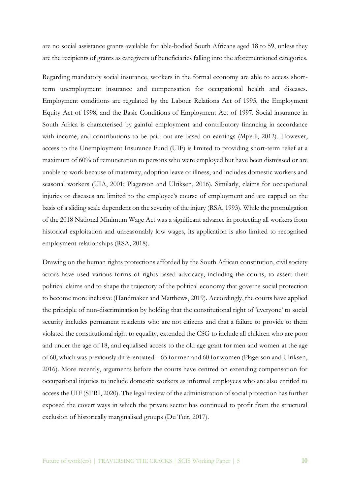are no social assistance grants available for able-bodied South Africans aged 18 to 59, unless they are the recipients of grants as caregivers of beneficiaries falling into the aforementioned categories.

Regarding mandatory social insurance, workers in the formal economy are able to access shortterm unemployment insurance and compensation for occupational health and diseases. Employment conditions are regulated by the Labour Relations Act of 1995, the Employment Equity Act of 1998, and the Basic Conditions of Employment Act of 1997. Social insurance in South Africa is characterised by gainful employment and contributory financing in accordance with income, and contributions to be paid out are based on earnings (Mpedi, 2012). However, access to the Unemployment Insurance Fund (UIF) is limited to providing short-term relief at a maximum of 60% of remuneration to persons who were employed but have been dismissed or are unable to work because of maternity, adoption leave or illness, and includes domestic workers and seasonal workers (UIA, 2001; Plagerson and Ulriksen, 2016). Similarly, claims for occupational injuries or diseases are limited to the employee's course of employment and are capped on the basis of a sliding scale dependent on the severity of the injury (RSA, 1993). While the promulgation of the 2018 National Minimum Wage Act was a significant advance in protecting all workers from historical exploitation and unreasonably low wages, its application is also limited to recognised employment relationships (RSA, 2018).

Drawing on the human rights protections afforded by the South African constitution, civil society actors have used various forms of rights-based advocacy, including the courts, to assert their political claims and to shape the trajectory of the political economy that governs social protection to become more inclusive (Handmaker and Matthews, 2019). Accordingly, the courts have applied the principle of non-discrimination by holding that the constitutional right of 'everyone' to social security includes permanent residents who are not citizens and that a failure to provide to them violated the constitutional right to equality, extended the CSG to include all children who are poor and under the age of 18, and equalised access to the old age grant for men and women at the age of 60, which was previously differentiated – 65 for men and 60 for women (Plagerson and Ulriksen, 2016). More recently, arguments before the courts have centred on extending compensation for occupational injuries to include domestic workers as informal employees who are also entitled to access the UIF (SERI, 2020). The legal review of the administration of social protection has further exposed the covert ways in which the private sector has continued to profit from the structural exclusion of historically marginalised groups (Du Toit, 2017).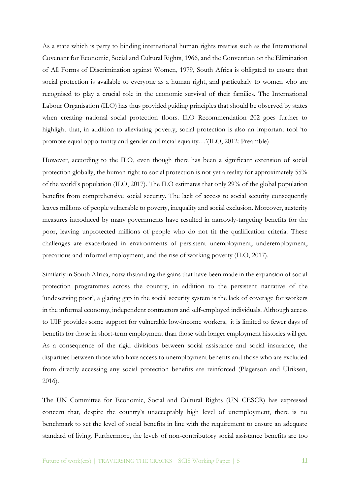As a state which is party to binding international human rights treaties such as the International Covenant for Economic, Social and Cultural Rights, 1966, and the Convention on the Elimination of All Forms of Discrimination against Women, 1979, South Africa is obligated to ensure that social protection is available to everyone as a human right, and particularly to women who are recognised to play a crucial role in the economic survival of their families. The International Labour Organisation (ILO) has thus provided guiding principles that should be observed by states when creating national social protection floors. ILO Recommendation 202 goes further to highlight that, in addition to alleviating poverty, social protection is also an important tool 'to promote equal opportunity and gender and racial equality…'(ILO, 2012: Preamble)

However, according to the ILO, even though there has been a significant extension of social protection globally, the human right to social protection is not yet a reality for approximately 55% of the world's population (ILO, 2017). The ILO estimates that only 29% of the global population benefits from comprehensive social security. The lack of access to social security consequently leaves millions of people vulnerable to poverty, inequality and social exclusion. Moreover, austerity measures introduced by many governments have resulted in narrowly-targeting benefits for the poor, leaving unprotected millions of people who do not fit the qualification criteria. These challenges are exacerbated in environments of persistent unemployment, underemployment, precarious and informal employment, and the rise of working poverty (ILO, 2017).

Similarly in South Africa, notwithstanding the gains that have been made in the expansion of social protection programmes across the country, in addition to the persistent narrative of the 'undeserving poor', a glaring gap in the social security system is the lack of coverage for workers in the informal economy, independent contractors and self-employed individuals. Although access to UIF provides some support for vulnerable low-income workers, it is limited to fewer days of benefits for those in short-term employment than those with longer employment histories will get. As a consequence of the rigid divisions between social assistance and social insurance, the disparities between those who have access to unemployment benefits and those who are excluded from directly accessing any social protection benefits are reinforced (Plagerson and Ulriksen, 2016).

The UN Committee for Economic, Social and Cultural Rights (UN CESCR) has expressed concern that, despite the country's unacceptably high level of unemployment, there is no benchmark to set the level of social benefits in line with the requirement to ensure an adequate standard of living. Furthermore, the levels of non-contributory social assistance benefits are too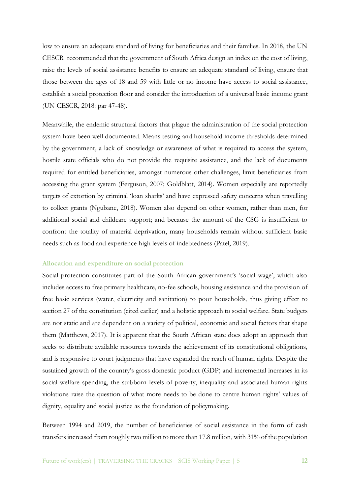low to ensure an adequate standard of living for beneficiaries and their families. In 2018, the UN CESCR recommended that the government of South Africa design an index on the cost of living, raise the levels of social assistance benefits to ensure an adequate standard of living, ensure that those between the ages of 18 and 59 with little or no income have access to social assistance, establish a social protection floor and consider the introduction of a universal basic income grant (UN CESCR, 2018: par 47-48).

Meanwhile, the endemic structural factors that plague the administration of the social protection system have been well documented. Means testing and household income thresholds determined by the government, a lack of knowledge or awareness of what is required to access the system, hostile state officials who do not provide the requisite assistance, and the lack of documents required for entitled beneficiaries, amongst numerous other challenges, limit beneficiaries from accessing the grant system (Ferguson, 2007; Goldblatt, 2014). Women especially are reportedly targets of extortion by criminal 'loan sharks' and have expressed safety concerns when travelling to collect grants (Ngubane, 2018). Women also depend on other women, rather than men, for additional social and childcare support; and because the amount of the CSG is insufficient to confront the totality of material deprivation, many households remain without sufficient basic needs such as food and experience high levels of indebtedness (Patel, 2019).

#### **Allocation and expenditure on social protection**

Social protection constitutes part of the South African government's 'social wage', which also includes access to free primary healthcare, no-fee schools, housing assistance and the provision of free basic services (water, electricity and sanitation) to poor households, thus giving effect to section 27 of the constitution (cited earlier) and a holistic approach to social welfare. State budgets are not static and are dependent on a variety of political, economic and social factors that shape them (Matthews, 2017). It is apparent that the South African state does adopt an approach that seeks to distribute available resources towards the achievement of its constitutional obligations, and is responsive to court judgments that have expanded the reach of human rights. Despite the sustained growth of the country's gross domestic product (GDP) and incremental increases in its social welfare spending, the stubborn levels of poverty, inequality and associated human rights violations raise the question of what more needs to be done to centre human rights' values of dignity, equality and social justice as the foundation of policymaking.

Between 1994 and 2019, the number of beneficiaries of social assistance in the form of cash transfers increased from roughly two million to more than 17.8 million, with 31% of the population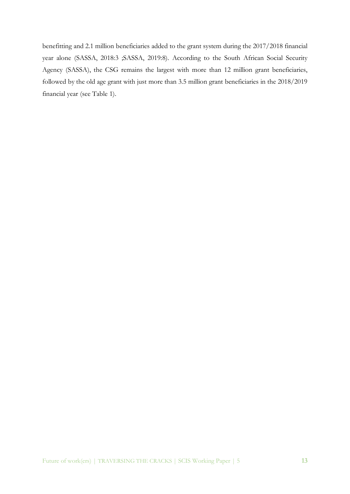benefitting and 2.1 million beneficiaries added to the grant system during the 2017/2018 financial year alone (SASSA, 2018:3 ;SASSA, 2019:8). According to the South African Social Security Agency (SASSA), the CSG remains the largest with more than 12 million grant beneficiaries, followed by the old age grant with just more than 3.5 million grant beneficiaries in the 2018/2019 financial year (see Table 1).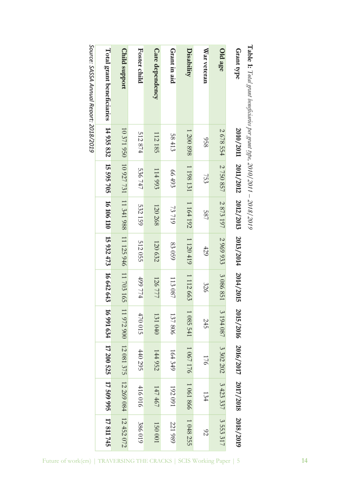| <b>Suntains</b>    | <b>Table 1:</b> Total g   |
|--------------------|---------------------------|
|                    | Ì                         |
|                    |                           |
| 110270102          |                           |
| <b>CLUC/LLUC</b>   | ser grant type, 2010/2011 |
| <b>SING / 9112</b> | $11 - 2018/20$            |

Source: SASSA Annual Report: 2018/2019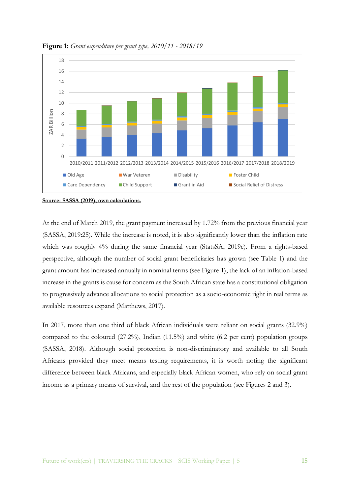

**Figure 1:** *Grant expenditure per grant type, 2010/11 - 2018/19*

**Source: SASSA (2019), own calculations.**

At the end of March 2019, the grant payment increased by 1.72% from the previous financial year (SASSA, 2019:25). While the increase is noted, it is also significantly lower than the inflation rate which was roughly 4% during the same financial year (StatsSA, 2019c). From a rights-based perspective, although the number of social grant beneficiaries has grown (see Table 1) and the grant amount has increased annually in nominal terms (see Figure 1), the lack of an inflation-based increase in the grants is cause for concern as the South African state has a constitutional obligation to progressively advance allocations to social protection as a socio-economic right in real terms as available resources expand (Matthews, 2017).

In 2017, more than one third of black African individuals were reliant on social grants (32.9%) compared to the coloured (27.2%), Indian (11.5%) and white (6.2 per cent) population groups (SASSA, 2018). Although social protection is non-discriminatory and available to all South Africans provided they meet means testing requirements, it is worth noting the significant difference between black Africans, and especially black African women, who rely on social grant income as a primary means of survival, and the rest of the population (see Figures 2 and 3).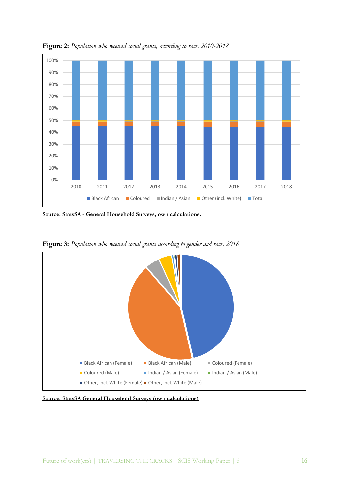

**Figure 2:** *Population who received social grants, according to race, 2010-2018*

**Source: StatsSA - General Household Surveys, own calculations.**



**Figure 3:** *Population who received social grants according to gender and race, 2018*

**Source: StatsSA General Household Surveys (own calculations)**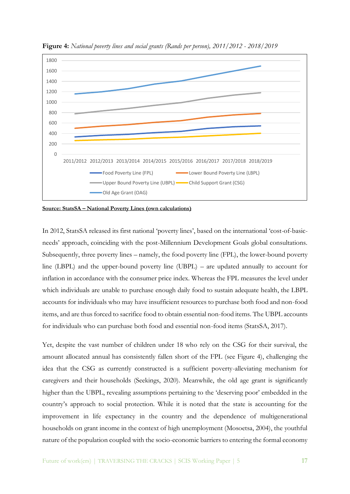

**Figure 4:** *National poverty lines and social grants (Rands per person), 2011/2012 - 2018/2019*

**Source: StatsSA – National Poverty Lines (own calculations)**

In 2012, StatsSA released its first national 'poverty lines', based on the international 'cost-of-basicneeds' approach, coinciding with the post-Millennium Development Goals global consultations. Subsequently, three poverty lines – namely, the food poverty line (FPL), the lower-bound poverty line (LBPL) and the upper-bound poverty line (UBPL) – are updated annually to account for inflation in accordance with the consumer price index. Whereas the FPL measures the level under which individuals are unable to purchase enough daily food to sustain adequate health, the LBPL accounts for individuals who may have insufficient resources to purchase both food and non-food items, and are thus forced to sacrifice food to obtain essential non-food items. The UBPL accounts for individuals who can purchase both food and essential non-food items (StatsSA, 2017).

Yet, despite the vast number of children under 18 who rely on the CSG for their survival, the amount allocated annual has consistently fallen short of the FPL (see Figure 4), challenging the idea that the CSG as currently constructed is a sufficient poverty-alleviating mechanism for caregivers and their households (Seekings, 2020). Meanwhile, the old age grant is significantly higher than the UBPL, revealing assumptions pertaining to the 'deserving poor' embedded in the country's approach to social protection. While it is noted that the state is accounting for the improvement in life expectancy in the country and the dependence of multigenerational households on grant income in the context of high unemployment (Mosoetsa, 2004), the youthful nature of the population coupled with the socio-economic barriers to entering the formal economy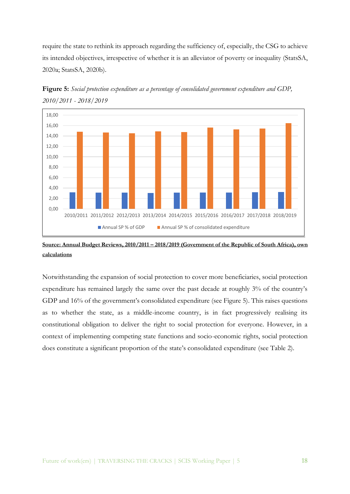require the state to rethink its approach regarding the sufficiency of, especially, the CSG to achieve its intended objectives, irrespective of whether it is an alleviator of poverty or inequality (StatsSA, 2020a; StatsSA, 2020b).



**Figure 5:** *Social protection expenditure as a percentage of consolidated government expenditure and GDP, 2010/2011 - 2018/2019*

## **Source: Annual Budget Reviews, 2010/2011 – 2018/2019 (Government of the Republic of South Africa), own calculations**

Notwithstanding the expansion of social protection to cover more beneficiaries, social protection expenditure has remained largely the same over the past decade at roughly 3% of the country's GDP and 16% of the government's consolidated expenditure (see Figure 5). This raises questions as to whether the state, as a middle-income country, is in fact progressively realising its constitutional obligation to deliver the right to social protection for everyone. However, in a context of implementing competing state functions and socio-economic rights, social protection does constitute a significant proportion of the state's consolidated expenditure (see Table 2).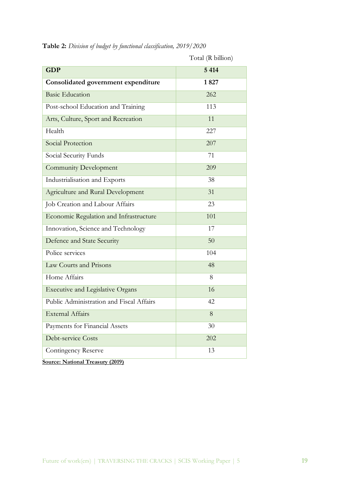|                                          | Total (R billion) |  |  |  |
|------------------------------------------|-------------------|--|--|--|
| <b>GDP</b>                               | 5 4 1 4           |  |  |  |
| Consolidated government expenditure      | 1827              |  |  |  |
| <b>Basic Education</b>                   | 262               |  |  |  |
| Post-school Education and Training       | 113               |  |  |  |
| Arts, Culture, Sport and Recreation      | 11                |  |  |  |
| Health                                   | 227               |  |  |  |
| Social Protection                        | 207               |  |  |  |
| Social Security Funds                    | 71                |  |  |  |
| <b>Community Development</b>             | 209               |  |  |  |
| Industrialisation and Exports            | 38                |  |  |  |
| Agriculture and Rural Development        | 31                |  |  |  |
| Job Creation and Labour Affairs          | 23                |  |  |  |
| Economic Regulation and Infrastructure   | 101               |  |  |  |
| Innovation, Science and Technology       | 17                |  |  |  |
| Defence and State Security               | 50                |  |  |  |
| Police services                          | 104               |  |  |  |
| Law Courts and Prisons                   | 48                |  |  |  |
| Home Affairs                             | 8                 |  |  |  |
| <b>Executive and Legislative Organs</b>  | 16                |  |  |  |
| Public Administration and Fiscal Affairs | 42                |  |  |  |
| <b>External Affairs</b>                  | $8\,$             |  |  |  |
| Payments for Financial Assets            | 30                |  |  |  |
| Debt-service Costs                       | 202               |  |  |  |
| <b>Contingency Reserve</b>               | 13                |  |  |  |
| <b>Source: National Treasury (2019)</b>  |                   |  |  |  |

**Table 2:** *Division of budget by functional classification, 2019/2020*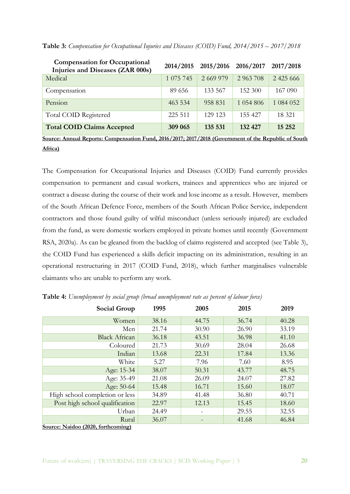| <b>Compensation for Occupational</b><br>Injuries and Diseases (ZAR 000s) |            | 2014/2015 2015/2016 2016/2017 |              | 2017/2018     |
|--------------------------------------------------------------------------|------------|-------------------------------|--------------|---------------|
| Medical                                                                  | 1 0 75 745 | 2 669 979                     | 2 963 708    | 2 4 2 5 6 6 6 |
| Compensation                                                             | 89 656     | 133 567                       | 152 300      | 167 090       |
| Pension                                                                  | 463 534    | 958 831                       | 1 0 54 8 0 6 | 1 084 052     |
| Total COID Registered                                                    | 225 511    | 129 123                       | 155 427      | 18 321        |
| <b>Total COID Claims Accepted</b>                                        | 309 065    | 135 531                       | 132 427      | 15 25 2       |

**Table 3:** *Compensation for Occupational Injuries and Diseases (COID) Fund, 2014/2015 – 2017/2018*

**Source: Annual Reports: Compensation Fund, 2016/2017; 2017/2018 (Government of the Republic of South Africa)**

The Compensation for Occupational Injuries and Diseases (COID) Fund currently provides compensation to permanent and casual workers, trainees and apprentices who are injured or contract a disease during the course of their work and lose income as a result. However, members of the South African Defence Force, members of the South African Police Service, independent contractors and those found guilty of wilful misconduct (unless seriously injured) are excluded from the fund, as were domestic workers employed in private homes until recently (Government RSA, 2020a). As can be gleaned from the backlog of claims registered and accepted (see Table 3), the COID Fund has experienced a skills deficit impacting on its administration, resulting in an operational restructuring in 2017 (COID Fund, 2018), which further marginalises vulnerable claimants who are unable to perform any work.

| Social Group                   | 1995  | 2005  | 2015  | 2019  |
|--------------------------------|-------|-------|-------|-------|
| Women                          | 38.16 | 44.75 | 36.74 | 40.28 |
| Men                            | 21.74 | 30.90 | 26.90 | 33.19 |
| <b>Black African</b>           | 36.18 | 43.51 | 36.98 | 41.10 |
| Coloured                       | 21.73 | 30.69 | 28.04 | 26.68 |
| Indian                         | 13.68 | 22.31 | 17.84 | 13.36 |
| White                          | 5.27  | 7.96  | 7.60  | 8.95  |
| Age: 15-34                     | 38.07 | 50.31 | 43.77 | 48.75 |
| Age: 35-49                     | 21.08 | 26.09 | 24.07 | 27.82 |
| Age: 50-64                     | 15.48 | 16.71 | 15.60 | 18.07 |
| High school completion or less | 34.89 | 41.48 | 36.80 | 40.71 |
| Post high school qualification | 22.97 | 12.13 | 15.45 | 18.60 |
| Urban                          | 24.49 |       | 29.55 | 32.55 |
| Rural                          | 36.07 |       | 41.68 | 46.84 |

**Table 4:** *Unemployment by social group (broad unemployment rate as percent of labour force)*

**Source: Naidoo (2020, forthcoming)**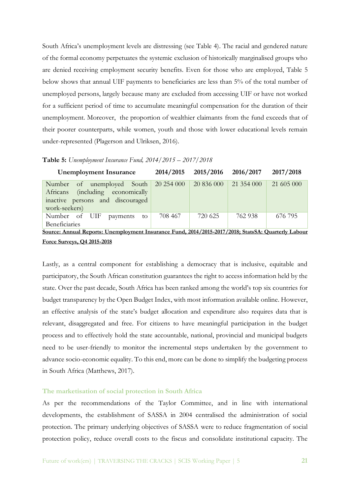South Africa's unemployment levels are distressing (see Table 4). The racial and gendered nature of the formal economy perpetuates the systemic exclusion of historically marginalised groups who are denied receiving employment security benefits. Even for those who are employed, Table 5 below shows that annual UIF payments to beneficiaries are less than 5% of the total number of unemployed persons, largely because many are excluded from accessing UIF or have not worked for a sufficient period of time to accumulate meaningful compensation for the duration of their unemployment. Moreover, the proportion of wealthier claimants from the fund exceeds that of their poorer counterparts, while women, youth and those with lower educational levels remain under-represented (Plagerson and Ulriksen, 2016).

**Table 5:** *Unemployment Insurance Fund, 2014/2015 – 2017/2018*

| <b>Unemployment Insurance</b>                                                                                             | 2014/2015  | 2015/2016  | 2016/2017  | 2017/2018  |
|---------------------------------------------------------------------------------------------------------------------------|------------|------------|------------|------------|
| of unemployed South<br>Number<br>(including economically<br>Africans<br>inactive persons and discouraged<br>work-seekers) | 20 254 000 | 20 836 000 | 21 354 000 | 21 605 000 |
| Number of<br>UIF<br>payments<br>to<br>Beneficiaries                                                                       | 708 467    | 720 625    | 762.938    | 676 795    |
| Source: Annual Reports: Unemployment Insurance Fund, 2014/2015-2017/2018; StatsSA: Quarterly Labour                       |            |            |            |            |
| Force Surveys, Q4 2015-2018                                                                                               |            |            |            |            |

Lastly, as a central component for establishing a democracy that is inclusive, equitable and participatory, the South African constitution guarantees the right to access information held by the state. Over the past decade, South Africa has been ranked among the world's top six countries for budget transparency by the Open Budget Index, with most information available online. However, an effective analysis of the state's budget allocation and expenditure also requires data that is relevant, disaggregated and free. For citizens to have meaningful participation in the budget process and to effectively hold the state accountable, national, provincial and municipal budgets need to be user-friendly to monitor the incremental steps undertaken by the government to advance socio-economic equality. To this end, more can be done to simplify the budgeting process in South Africa (Matthews, 2017).

## **The marketisation of social protection in South Africa**

As per the recommendations of the Taylor Committee, and in line with international developments, the establishment of SASSA in 2004 centralised the administration of social protection. The primary underlying objectives of SASSA were to reduce fragmentation of social protection policy, reduce overall costs to the fiscus and consolidate institutional capacity. The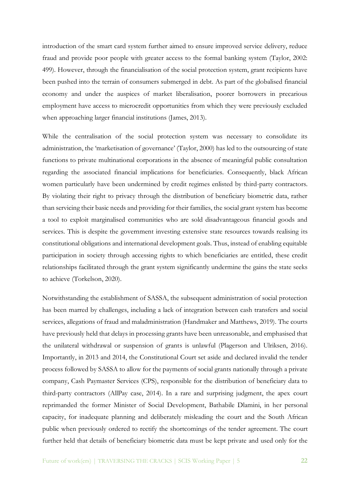introduction of the smart card system further aimed to ensure improved service delivery, reduce fraud and provide poor people with greater access to the formal banking system (Taylor, 2002: 499). However, through the financialisation of the social protection system, grant recipients have been pushed into the terrain of consumers submerged in debt. As part of the globalised financial economy and under the auspices of market liberalisation, poorer borrowers in precarious employment have access to microcredit opportunities from which they were previously excluded when approaching larger financial institutions (James, 2013).

While the centralisation of the social protection system was necessary to consolidate its administration, the 'marketisation of governance' (Taylor, 2000) has led to the outsourcing of state functions to private multinational corporations in the absence of meaningful public consultation regarding the associated financial implications for beneficiaries. Consequently, black African women particularly have been undermined by credit regimes enlisted by third-party contractors. By violating their right to privacy through the distribution of beneficiary biometric data, rather than servicing their basic needs and providing for their families, the social grant system has become a tool to exploit marginalised communities who are sold disadvantageous financial goods and services. This is despite the government investing extensive state resources towards realising its constitutional obligations and international development goals. Thus, instead of enabling equitable participation in society through accessing rights to which beneficiaries are entitled, these credit relationships facilitated through the grant system significantly undermine the gains the state seeks to achieve (Torkelson, 2020).

Notwithstanding the establishment of SASSA, the subsequent administration of social protection has been marred by challenges, including a lack of integration between cash transfers and social services, allegations of fraud and maladministration (Handmaker and Matthews, 2019). The courts have previously held that delays in processing grants have been unreasonable, and emphasised that the unilateral withdrawal or suspension of grants is unlawful (Plagerson and Ulriksen, 2016). Importantly, in 2013 and 2014, the Constitutional Court set aside and declared invalid the tender process followed by SASSA to allow for the payments of social grants nationally through a private company, Cash Paymaster Services (CPS), responsible for the distribution of beneficiary data to third-party contractors (AllPay case, 2014). In a rare and surprising judgment, the apex court reprimanded the former Minister of Social Development, Bathabile Dlamini, in her personal capacity, for inadequate planning and deliberately misleading the court and the South African public when previously ordered to rectify the shortcomings of the tender agreement. The court further held that details of beneficiary biometric data must be kept private and used only for the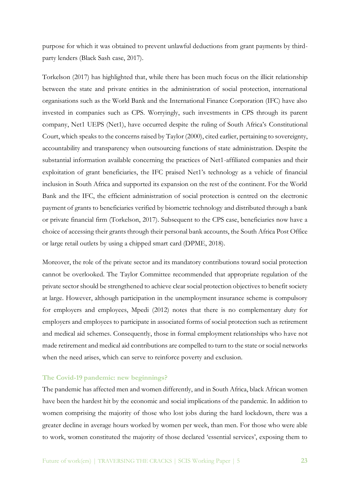purpose for which it was obtained to prevent unlawful deductions from grant payments by thirdparty lenders (Black Sash case, 2017).

Torkelson (2017) has highlighted that, while there has been much focus on the illicit relationship between the state and private entities in the administration of social protection, international organisations such as the World Bank and the International Finance Corporation (IFC) have also invested in companies such as CPS. Worryingly, such investments in CPS through its parent company, Net1 UEPS (Net1), have occurred despite the ruling of South Africa's Constitutional Court, which speaks to the concerns raised by Taylor (2000), cited earlier, pertaining to sovereignty, accountability and transparency when outsourcing functions of state administration. Despite the substantial information available concerning the practices of Net1-affiliated companies and their exploitation of grant beneficiaries, the IFC praised Net1's technology as a vehicle of financial inclusion in South Africa and supported its expansion on the rest of the continent. For the World Bank and the IFC, the efficient administration of social protection is centred on the electronic payment of grants to beneficiaries verified by biometric technology and distributed through a bank or private financial firm (Torkelson, 2017). Subsequent to the CPS case, beneficiaries now have a choice of accessing their grants through their personal bank accounts, the South Africa Post Office or large retail outlets by using a chipped smart card (DPME, 2018).

Moreover, the role of the private sector and its mandatory contributions toward social protection cannot be overlooked. The Taylor Committee recommended that appropriate regulation of the private sector should be strengthened to achieve clear social protection objectives to benefit society at large. However, although participation in the unemployment insurance scheme is compulsory for employers and employees, Mpedi (2012) notes that there is no complementary duty for employers and employees to participate in associated forms of social protection such as retirement and medical aid schemes. Consequently, those in formal employment relationships who have not made retirement and medical aid contributions are compelled to turn to the state or social networks when the need arises, which can serve to reinforce poverty and exclusion.

## **The Covid-19 pandemic: new beginnings?**

The pandemic has affected men and women differently, and in South Africa, black African women have been the hardest hit by the economic and social implications of the pandemic. In addition to women comprising the majority of those who lost jobs during the hard lockdown, there was a greater decline in average hours worked by women per week, than men. For those who were able to work, women constituted the majority of those declared 'essential services', exposing them to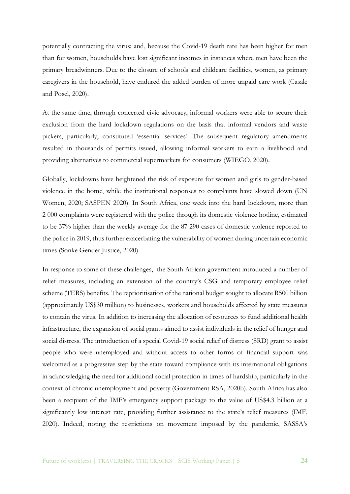potentially contracting the virus; and, because the Covid-19 death rate has been higher for men than for women, households have lost significant incomes in instances where men have been the primary breadwinners. Due to the closure of schools and childcare facilities, women, as primary caregivers in the household, have endured the added burden of more unpaid care work (Casale and Posel, 2020).

At the same time, through concerted civic advocacy, informal workers were able to secure their exclusion from the hard lockdown regulations on the basis that informal vendors and waste pickers, particularly, constituted 'essential services'. The subsequent regulatory amendments resulted in thousands of permits issued, allowing informal workers to earn a livelihood and providing alternatives to commercial supermarkets for consumers (WIEGO, 2020).

Globally, lockdowns have heightened the risk of exposure for women and girls to gender-based violence in the home, while the institutional responses to complaints have slowed down (UN Women, 2020; SASPEN 2020). In South Africa, one week into the hard lockdown, more than 2 000 complaints were registered with the police through its domestic violence hotline, estimated to be 37% higher than the weekly average for the 87 290 cases of domestic violence reported to the police in 2019, thus further exacerbating the vulnerability of women during uncertain economic times (Sonke Gender Justice, 2020).

In response to some of these challenges, the South African government introduced a number of relief measures, including an extension of the country's CSG and temporary employee relief scheme (TERS) benefits. The reprioritisation of the national budget sought to allocate R500 billion (approximately US\$30 million) to businesses, workers and households affected by state measures to contain the virus. In addition to increasing the allocation of resources to fund additional health infrastructure, the expansion of social grants aimed to assist individuals in the relief of hunger and social distress. The introduction of a special Covid-19 social relief of distress (SRD) grant to assist people who were unemployed and without access to other forms of financial support was welcomed as a progressive step by the state toward compliance with its international obligations in acknowledging the need for additional social protection in times of hardship, particularly in the context of chronic unemployment and poverty (Government RSA, 2020b). South Africa has also been a recipient of the IMF's emergency support package to the value of US\$4.3 billion at a significantly low interest rate, providing further assistance to the state's relief measures (IMF, 2020). Indeed, noting the restrictions on movement imposed by the pandemic, SASSA's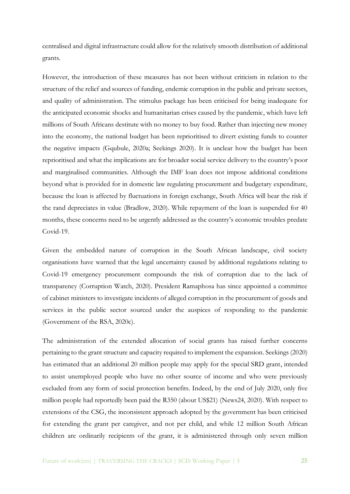centralised and digital infrastructure could allow for the relatively smooth distribution of additional grants.

However, the introduction of these measures has not been without criticism in relation to the structure of the relief and sources of funding, endemic corruption in the public and private sectors, and quality of administration. The stimulus package has been criticised for being inadequate for the anticipated economic shocks and humanitarian crises caused by the pandemic, which have left millions of South Africans destitute with no money to buy food. Rather than injecting new money into the economy, the national budget has been reprioritised to divert existing funds to counter the negative impacts (Gqubule, 2020a; Seekings 2020). It is unclear how the budget has been reprioritised and what the implications are for broader social service delivery to the country's poor and marginalised communities. Although the IMF loan does not impose additional conditions beyond what is provided for in domestic law regulating procurement and budgetary expenditure, because the loan is affected by fluctuations in foreign exchange, South Africa will bear the risk if the rand depreciates in value (Bradlow, 2020). While repayment of the loan is suspended for 40 months, these concerns need to be urgently addressed as the country's economic troubles predate Covid-19.

Given the embedded nature of corruption in the South African landscape, civil society organisations have warned that the legal uncertainty caused by additional regulations relating to Covid-19 emergency procurement compounds the risk of corruption due to the lack of transparency (Corruption Watch, 2020). President Ramaphosa has since appointed a committee of cabinet ministers to investigate incidents of alleged corruption in the procurement of goods and services in the public sector sourced under the auspices of responding to the pandemic (Government of the RSA, 2020c).

The administration of the extended allocation of social grants has raised further concerns pertaining to the grant structure and capacity required to implement the expansion. Seekings (2020) has estimated that an additional 20 million people may apply for the special SRD grant, intended to assist unemployed people who have no other source of income and who were previously excluded from any form of social protection benefits. Indeed, by the end of July 2020, only five million people had reportedly been paid the R350 (about US\$21) (News24, 2020). With respect to extensions of the CSG, the inconsistent approach adopted by the government has been criticised for extending the grant per caregiver, and not per child, and while 12 million South African children are ordinarily recipients of the grant, it is administered through only seven million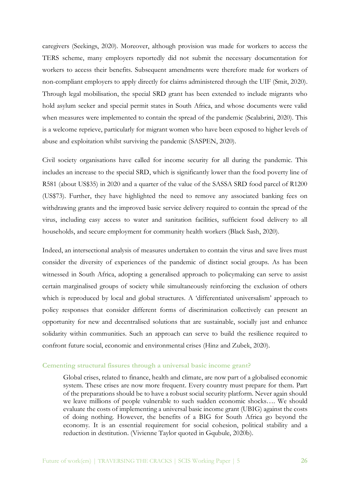caregivers (Seekings, 2020). Moreover, although provision was made for workers to access the TERS scheme, many employers reportedly did not submit the necessary documentation for workers to access their benefits. Subsequent amendments were therefore made for workers of non-compliant employers to apply directly for claims administered through the UIF (Smit, 2020). Through legal mobilisation, the special SRD grant has been extended to include migrants who hold asylum seeker and special permit states in South Africa, and whose documents were valid when measures were implemented to contain the spread of the pandemic (Scalabrini, 2020). This is a welcome reprieve, particularly for migrant women who have been exposed to higher levels of abuse and exploitation whilst surviving the pandemic (SASPEN, 2020).

Civil society organisations have called for income security for all during the pandemic. This includes an increase to the special SRD, which is significantly lower than the food poverty line of R581 (about US\$35) in 2020 and a quarter of the value of the SASSA SRD food parcel of R1200 (US\$73). Further, they have highlighted the need to remove any associated banking fees on withdrawing grants and the improved basic service delivery required to contain the spread of the virus, including easy access to water and sanitation facilities, sufficient food delivery to all households, and secure employment for community health workers (Black Sash, 2020).

Indeed, an intersectional analysis of measures undertaken to contain the virus and save lives must consider the diversity of experiences of the pandemic of distinct social groups. As has been witnessed in South Africa, adopting a generalised approach to policymaking can serve to assist certain marginalised groups of society while simultaneously reinforcing the exclusion of others which is reproduced by local and global structures. A 'differentiated universalism' approach to policy responses that consider different forms of discrimination collectively can present an opportunity for new and decentralised solutions that are sustainable, socially just and enhance solidarity within communities. Such an approach can serve to build the resilience required to confront future social, economic and environmental crises (Hinz and Zubek, 2020).

#### **Cementing structural fissures through a universal basic income grant?**

Global crises, related to finance, health and climate, are now part of a globalised economic system. These crises are now more frequent. Every country must prepare for them. Part of the preparations should be to have a robust social security platform. Never again should we leave millions of people vulnerable to such sudden economic shocks…. We should evaluate the costs of implementing a universal basic income grant (UBIG) against the costs of doing nothing. However, the benefits of a BIG for South Africa go beyond the economy. It is an essential requirement for social cohesion, political stability and a reduction in destitution. (Vivienne Taylor quoted in Gqubule, 2020b).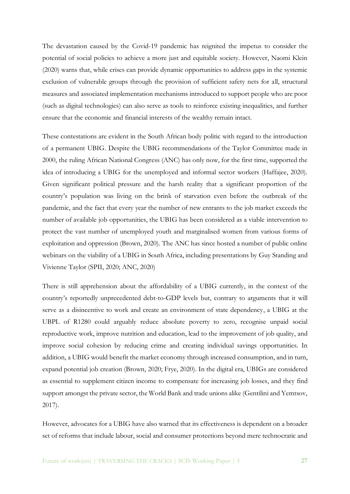The devastation caused by the Covid-19 pandemic has reignited the impetus to consider the potential of social policies to achieve a more just and equitable society. However, Naomi Klein (2020) warns that, while crises can provide dynamic opportunities to address gaps in the systemic exclusion of vulnerable groups through the provision of sufficient safety nets for all, structural measures and associated implementation mechanisms introduced to support people who are poor (such as digital technologies) can also serve as tools to reinforce existing inequalities, and further ensure that the economic and financial interests of the wealthy remain intact.

These contestations are evident in the South African body politic with regard to the introduction of a permanent UBIG. Despite the UBIG recommendations of the Taylor Committee made in 2000, the ruling African National Congress (ANC) has only now, for the first time, supported the idea of introducing a UBIG for the unemployed and informal sector workers (Haffajee, 2020). Given significant political pressure and the harsh reality that a significant proportion of the country's population was living on the brink of starvation even before the outbreak of the pandemic, and the fact that every year the number of new entrants to the job market exceeds the number of available job opportunities, the UBIG has been considered as a viable intervention to protect the vast number of unemployed youth and marginalised women from various forms of exploitation and oppression (Brown, 2020). The ANC has since hosted a number of public online webinars on the viability of a UBIG in South Africa, including presentations by Guy Standing and Vivienne Taylor (SPII, 2020; ANC, 2020)

There is still apprehension about the affordability of a UBIG currently, in the context of the country's reportedly unprecedented debt-to-GDP levels but, contrary to arguments that it will serve as a disincentive to work and create an environment of state dependency, a UBIG at the UBPL of R1280 could arguably reduce absolute poverty to zero, recognise unpaid social reproductive work, improve nutrition and education, lead to the improvement of job quality, and improve social cohesion by reducing crime and creating individual savings opportunities. In addition, a UBIG would benefit the market economy through increased consumption, and in turn, expand potential job creation (Brown, 2020; Frye, 2020). In the digital era, UBIGs are considered as essential to supplement citizen income to compensate for increasing job losses, and they find support amongst the private sector, the World Bank and trade unions alike (Gentilini and Yemtsov, 2017).

However, advocates for a UBIG have also warned that its effectiveness is dependent on a broader set of reforms that include labour, social and consumer protections beyond mere technocratic and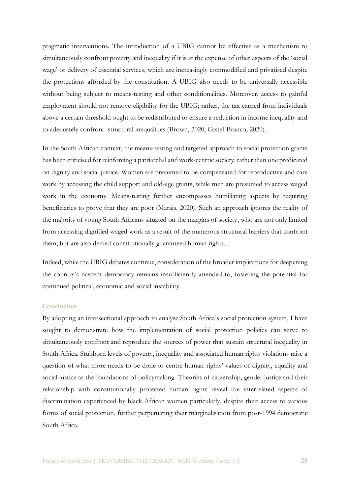pragmatic interventions. The introduction of a UBIG cannot be effective as a mechanism to simultaneously confront poverty and inequality if it is at the expense of other aspects of the 'social wage' or delivery of essential services, which are increasingly commodified and privatised despite the protections afforded by the constitution. A UBIG also needs to be universally accessible without being subject to means-testing and other conditionalities. Moreover, access to gainful employment should not remove eligibility for the UBIG; rather, the tax earned from individuals above a certain threshold ought to be redistributed to ensure a reduction in income inequality and to adequately confront structural inequalities (Brown, 2020; Castel-Branco, 2020).

In the South African context, the means-testing and targeted approach to social protection grants has been criticised for reinforcing a patriarchal and work-centric society, rather than one predicated on dignity and social justice. Women are presumed to be compensated for reproductive and care work by accessing the child support and old-age grants, while men are presumed to access waged work in the economy. Means-testing further encompasses humiliating aspects by requiring beneficiaries to prove that they are poor (Marais, 2020). Such an approach ignores the reality of the majority of young South Africans situated on the margins of society, who are not only limited from accessing dignified waged work as a result of the numerous structural barriers that confront them, but are also denied constitutionally guaranteed human rights.

Indeed, while the UBIG debates continue, consideration of the broader implications for deepening the country's nascent democracy remains insufficiently attended to, fostering the potential for continued political, economic and social instability.

## **Conclusion**

By adopting an intersectional approach to analyse South Africa's social protection system, I have sought to demonstrate how the implementation of social protection policies can serve to simultaneously confront and reproduce the sources of power that sustain structural inequality in South Africa. Stubborn levels of poverty, inequality and associated human rights violations raise a question of what more needs to be done to centre human rights' values of dignity, equality and social justice as the foundations of policymaking. Theories of citizenship, gender justice and their relationship with constitutionally protected human rights reveal the interrelated aspects of discrimination experienced by black African women particularly, despite their access to various forms of social protection, further perpetuating their marginalisation from post-1994 democratic South Africa.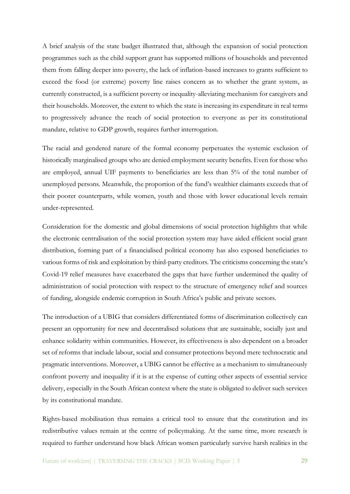A brief analysis of the state budget illustrated that, although the expansion of social protection programmes such as the child support grant has supported millions of households and prevented them from falling deeper into poverty, the lack of inflation-based increases to grants sufficient to exceed the food (or extreme) poverty line raises concern as to whether the grant system, as currently constructed, is a sufficient poverty or inequality-alleviating mechanism for caregivers and their households. Moreover, the extent to which the state is increasing its expenditure in real terms to progressively advance the reach of social protection to everyone as per its constitutional mandate, relative to GDP growth, requires further interrogation.

The racial and gendered nature of the formal economy perpetuates the systemic exclusion of historically marginalised groups who are denied employment security benefits. Even for those who are employed, annual UIF payments to beneficiaries are less than 5% of the total number of unemployed persons. Meanwhile, the proportion of the fund's wealthier claimants exceeds that of their poorer counterparts, while women, youth and those with lower educational levels remain under-represented.

Consideration for the domestic and global dimensions of social protection highlights that while the electronic centralisation of the social protection system may have aided efficient social grant distribution, forming part of a financialised political economy has also exposed beneficiaries to various forms of risk and exploitation by third-party creditors. The criticisms concerning the state's Covid-19 relief measures have exacerbated the gaps that have further undermined the quality of administration of social protection with respect to the structure of emergency relief and sources of funding, alongside endemic corruption in South Africa's public and private sectors.

The introduction of a UBIG that considers differentiated forms of discrimination collectively can present an opportunity for new and decentralised solutions that are sustainable, socially just and enhance solidarity within communities. However, its effectiveness is also dependent on a broader set of reforms that include labour, social and consumer protections beyond mere technocratic and pragmatic interventions. Moreover, a UBIG cannot be effective as a mechanism to simultaneously confront poverty and inequality if it is at the expense of cutting other aspects of essential service delivery, especially in the South African context where the state is obligated to deliver such services by its constitutional mandate.

Rights-based mobilisation thus remains a critical tool to ensure that the constitution and its redistributive values remain at the centre of policymaking. At the same time, more research is required to further understand how black African women particularly survive harsh realities in the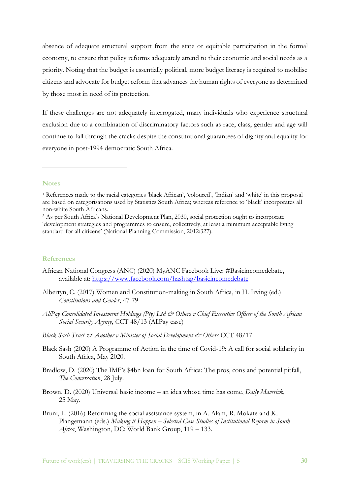absence of adequate structural support from the state or equitable participation in the formal economy, to ensure that policy reforms adequately attend to their economic and social needs as a priority. Noting that the budget is essentially political, more budget literacy is required to mobilise citizens and advocate for budget reform that advances the human rights of everyone as determined by those most in need of its protection.

If these challenges are not adequately interrogated, many individuals who experience structural exclusion due to a combination of discriminatory factors such as race, class, gender and age will continue to fall through the cracks despite the constitutional guarantees of dignity and equality for everyone in post-1994 democratic South Africa.

## **Notes**

-

#### **References**

- African National Congress (ANC) (2020) MyANC Facebook Live: #Basicincomedebate, available at:<https://www.facebook.com/hashtag/basicincomedebate>
- Albertyn, C. (2017) Women and Constitution-making in South Africa, in H. Irving (ed.) *Constitutions and Gender*, 47-79
- *AllPay Consolidated Investment Holdings (Pty) Ltd & Others v Chief Executive Officer of the South African Social Security Agency*, CCT 48/13 (AllPay case)
- *Black Sash Trust & Another v Minister of Social Development & Others* CCT 48/17
- Black Sash (2020) A Programme of Action in the time of Covid-19: A call for social solidarity in South Africa, May 2020.
- Bradlow, D. (2020) The IMF's \$4bn loan for South Africa: The pros, cons and potential pitfall, *The Conversation*, 28 July.
- Brown, D. (2020) Universal basic income an idea whose time has come, *Daily Maverick*, 25 May.
- Bruni, L. (2016) Reforming the social assistance system, in A. Alam, R. Mokate and K. Plangemann (eds.) *Making it Happen – Selected Case Studies of Institutional Reform in South Africa*, Washington, DC: World Bank Group, 119 – 133.

<sup>1</sup> References made to the racial categories 'black African', 'coloured', 'Indian' and 'white' in this proposal are based on categorisations used by Statistics South Africa; whereas reference to 'black' incorporates all non-white South Africans.

<sup>2</sup> As per South Africa's National Development Plan, 2030, social protection ought to incorporate 'development strategies and programmes to ensure, collectively, at least a minimum acceptable living standard for all citizens' (National Planning Commission, 2012:327).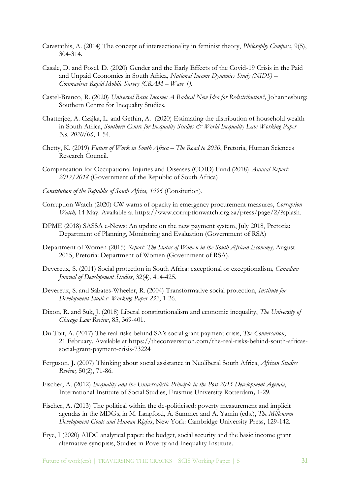- Carastathis, A. (2014) The concept of intersectionality in feminist theory, *Philosophy Compass*, 9(5), 304-314.
- Casale, D. and Posel, D. (2020) Gender and the Early Effects of the Covid-19 Crisis in the Paid and Unpaid Cconomies in South Africa, *National Income Dynamics Study (NIDS) – Coronavirus Rapid Mobile Survey (CRAM – Wave 1).*
- Castel-Branco, R. (2020) *Universal Basic Income: A Radical New Idea for Redistribution?,* Johannesburg: Southern Centre for Inequality Studies.
- Chatterjee, A. Czajka, L. and Gethin, A. (2020) Estimating the distribution of household wealth in South Africa, *Southern Centre for Inequality Studies & World Inequality Lab: Working Paper No. 2020/06*, 1-54*.*
- Chetty, K. (2019) *Future of Work in South Africa – The Road to 2030*, Pretoria, Human Sciences Research Council.
- Compensation for Occupational Injuries and Diseases (COID) Fund (2018) *Annual Report: 2017/2018* (Government of the Republic of South Africa)
- *Constitution of the Republic of South Africa, 1996* (Consitution).
- Corruption Watch (2020) CW warns of opacity in emergency procurement measures, *Corruption Watch,* 14 May. Available at https://www.corruptionwatch.org.za/press/page/2/?splash.
- DPME (2018) SASSA e-News: An update on the new payment system, July 2018, Pretoria: Department of Planning, Monitoring and Evaluation (Government of RSA)
- Department of Women (2015) *Report: The Status of Women in the South African Economy,* August 2015, Pretoria: Department of Women (Government of RSA).
- Devereux, S. (2011) Social protection in South Africa: exceptional or exceptionalism, *Canadian Journal of Development Studies*, 32(4), 414-425.
- Devereux, S. and Sabates-Wheeler, R. (2004) Transformative social protection, *Institute for Development Studies: Working Paper 232*, 1-26.
- Dixon, R. and Suk, J. (2018) Liberal constitutionalism and economic inequality, *The University of Chicago Law Review*, 85, 369-401.
- Du Toit, A. (2017) The real risks behind SA's social grant payment crisis, *The Conversation*, 21 February. Available at https://theconversation.com/the-real-risks-behind-south-africassocial-grant-payment-crisis-73224
- Ferguson, J. (2007) Thinking about social assistance in Neoliberal South Africa, *African Studies Review,* 50(2), 71-86.
- Fischer, A. (2012) *Inequality and the Universalistic Principle in the Post-2015 Development Agenda*, International Institute of Social Studies, Erasmus University Rotterdam*,* 1-29.
- Fischer, A. (2013) The political within the de-politicised: poverty measurement and implicit agendas in the MDGs, in M. Langford, A. Summer and A. Yamin (eds.), *The Millenium Development Goals and Human Rights*, New York: Cambridge University Press, 129-142.
- Frye, I (2020) AIDC analytical paper: the budget, social security and the basic income grant alternative synopisis, Studies in Poverty and Inequality Institute.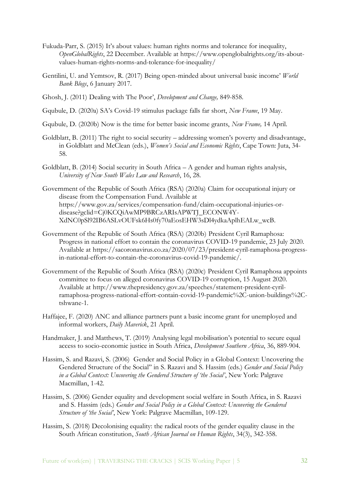- Fukuda-Parr, S. (2015) It's about values: human rights norms and tolerance for inequality, *OpenGlobalRights*, 22 December. Available at https://www.openglobalrights.org/its-aboutvalues-human-rights-norms-and-tolerance-for-inequality/
- Gentilini, U. and Yemtsov, R. (2017) Being open-minded about universal basic income' *World Bank Blogs*, 6 January 2017.
- Ghosh, J. (2011) Dealing with The Poor', *Development and Change,* 849-858.
- Gqubule, D. (2020a) SA's Covid-19 stimulus package falls far short, *New Frame*, 19 May.
- Gqubule, D. (2020b) Now is the time for better basic income grants, *New Frame,* 14 April.
- Goldblatt, B. (2011) The right to social security addressing women's poverty and disadvantage, in Goldblatt and McClean (eds.), *Women's Social and Economic Rights*, Cape Town: Juta, 34- 58.
- Goldblatt, B. (2014) Social security in South Africa A gender and human rights analysis, *University of New South Wales Law and Research*, 16, 28.
- Government of the Republic of South Africa (RSA) (2020a) Claim for occupational injury or disease from the Compensation Fund. Available at https://www.gov.za/services/compensation-fund/claim-occupational-injuries-ordisease?gclid=Cj0KCQiAwMP9BRCzARIsAPWTJ\_ECONW4Y-XdNC0pSl92IB6ASLvOUFsk6Hs0fy70aEosEHW3sDl4ydkaAplhEALw\_wcB.
- Government of the Republic of South Africa (RSA) (2020b) President Cyril Ramaphosa: Progress in national effort to contain the coronavirus COVID-19 pandemic, 23 July 2020. Available at https://sacoronavirus.co.za/2020/07/23/president-cyril-ramaphosa-progressin-national-effort-to-contain-the-coronavirus-covid-19-pandemic/.
- Government of the Republic of South Africa (RSA) (2020c) President Cyril Ramaphosa appoints committee to focus on alleged coronavirus COVID-19 corruption, 15 August 2020. Available at http://www.thepresidency.gov.za/speeches/statement-president-cyrilramaphosa-progress-national-effort-contain-covid-19-pandemic%2C-union-buildings%2Ctshwane-1.
- Haffajee, F. (2020) ANC and alliance partners punt a basic income grant for unemployed and informal workers, *Daily Maverick*, 21 April.
- Handmaker, J. and Matthews, T. (2019) Analysing legal mobilisation's potential to secure equal access to socio-economic justice in South Africa, *Development Southern Africa*, 36, 889-904.
- Hassim, S. and Razavi, S. (2006) Gender and Social Policy in a Global Context: Uncovering the Gendered Structure of the Social'' in S. Razavi and S. Hassim (eds.) *Gender and Social Policy in a Global Context: Uncovering the Gendered Structure of 'the Social'*, New York: Palgrave Macmillan, 1-42.
- Hassim, S. (2006) Gender equality and development social welfare in South Africa, in S. Razavi and S. Hassim (eds.) *Gender and Social Policy in a Global Context: Uncovering the Gendered Structure of 'the Social'*, New York: Palgrave Macmillan, 109-129.
- Hassim, S. (2018) Decolonising equality: the radical roots of the gender equality clause in the South African constitution, *South African Journal on Human Rights*, 34(3), 342-358.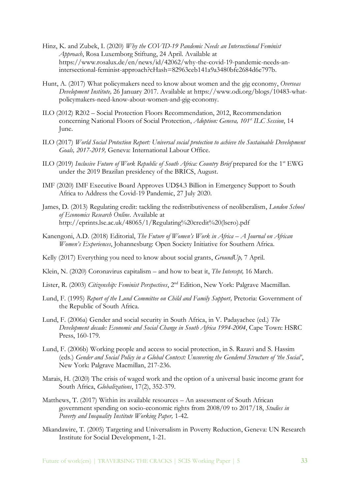- Hinz, K. and Zubek, I. (2020) *Why the COVID-19 Pandemic Needs an Intersectional Feminist Approach*, Rosa Luxemborg Stiftung, 24 April. Available at https://www.rosalux.de/en/news/id/42062/why-the-covid-19-pandemic-needs-anintersectional-feminist-approach?cHash=82963ceb141a9a3480bfe2684d6e797b.
- Hunt, A. (2017) What policymakers need to know about women and the gig economy, *Overseas Development Institute,* 26 January 2017. Available at https://www.odi.org/blogs/10483-whatpolicymakers-need-know-about-women-and-gig-economy.
- ILO (2012) R202 Social Protection Floors Recommendation, 2012, Recommendation concerning National Floors of Social Protection, *Adoption: Geneva, 101st ILC Session*, 14 June.
- ILO (2017) *World Social Protection Report: Universal social protection to achieve the Sustainable Development Goals, 2017-2019,* Geneva: International Labour Office.
- ILO (2019) *Inclusive Future of Work Republic of South Africa: Country Brief* prepared for the 1st EWG under the 2019 Brazilan presidency of the BRICS, August.
- IMF (2020) IMF Executive Board Approves UD\$4.3 Billion in Emergency Support to South Africa to Address the Covid-19 Pandemic, 27 July 2020.
- James, D. (2013) Regulating credit: tackling the redistributiveness of neoliberalism, *London School of Economics Research Online*. Available at http://eprints.lse.ac.uk/48065/1/Regulating%20credit%20(lsero).pdf
- Kanengoni, A.D. (2018) Editorial, *The Future of Women's Work in Africa – A Journal on African Women's Experiences*, Johannesburg: Open Society Initiative for Southern Africa.
- Kelly (2017) Everything you need to know about social grants, *GroundUp,* 7 April.
- Klein, N. (2020) Coronavirus capitalism and how to beat it, *The Intercept,* 16 March.
- Lister, R. (2003) *Citizenship: Feminist Perspectives*, 2nd Edition, New York: Palgrave Macmillan.
- Lund, F. (1995) *Report of the Lund Committee on Child and Family Support,* Pretoria: Government of the Republic of South Africa.
- Lund, F. (2006a) Gender and social security in South Africa, in V. Padayachee (ed.) *The Development decade: Economic and Social Change in South Africa 1994-2004*, Cape Town: HSRC Press, 160-179.
- Lund, F. (2006b) Working people and access to social protection, in S. Razavi and S. Hassim (eds.) *Gender and Social Policy in a Global Context: Uncovering the Gendered Structure of 'the Social'*, New York: Palgrave Macmillan, 217-236.
- Marais, H. (2020) The crisis of waged work and the option of a universal basic income grant for South Africa, *Globalizations*, 17(2), 352-379.
- Matthews, T. (2017) Within its available resources An assessment of South African government spending on socio-economic rights from 2008/09 to 2017/18, *Studies in Poverty and Inequality Institute Working Paper,* 1-42.
- Mkandawire, T. (2005) Targeting and Universalism in Poverty Reduction, Geneva: UN Research Institute for Social Development, 1-21.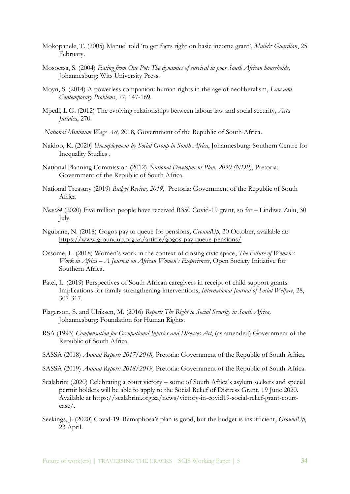- Mokopanele, T. (2005) Manuel told 'to get facts right on basic income grant', *Maile's Guardian*, 25 February.
- Mosoetsa, S. (2004) *Eating from One Pot: The dynamics of survival in poor South African households*, Johannesburg: Wits University Press.
- Moyn, S. (2014) A powerless companion: human rights in the age of neoliberalism, *Law and Contemporary Problems*, 77, 147-169.
- Mpedi, L.G. (2012) The evolving relationships between labour law and social security, *Acta Juridica*, 270.
- *National Minimum Wage Act,* 2018*,* Government of the Republic of South Africa.
- Naidoo, K. (2020) *Unemployment by Social Group in South Africa*, Johannesburg: Southern Centre for Inequality Studies .
- National Planning Commission (2012) *National Development Plan, 2030 (NDP)*, Pretoria: Government of the Republic of South Africa*.*
- National Treasury (2019) *Budget Review, 2019*, Pretoria: Government of the Republic of South Africa
- *News24* (2020) Five million people have received R350 Covid-19 grant, so far Lindiwe Zulu, 30 July.
- Ngubane, N. (2018) Gogos pay to queue for pensions, *GroundUp*, 30 October, available at: <https://www.groundup.org.za/article/gogos-pay-queue-pensions/>
- Ossome, L. (2018) Women's work in the context of closing civic space, *The Future of Women's Work in Africa – A Journal on African Women's Experiences*, Open Society Initiative for Southern Africa.
- Patel, L. (2019) Perspectives of South African caregivers in receipt of child support grants: Implications for family strengthening interventions, *International Journal of Social Welfare*, 28, 307-317.
- Plagerson, S. and Ulriksen, M. (2016) *Report: The Right to Social Security in South Africa,* Johannesburg: Foundation for Human Rights.
- RSA (1993) *Compensation for Occupational Injuries and Diseases Act*, (as amended) Government of the Republic of South Africa.
- SASSA (2018) *Annual Report: 2017/2018,* Pretoria: Government of the Republic of South Africa.
- SASSA (2019) *Annual Report: 2018/2019,* Pretoria: Government of the Republic of South Africa.
- Scalabrini (2020) Celebrating a court victory some of South Africa's asylum seekers and special permit holders will be able to apply to the Social Relief of Distress Grant, 19 June 2020. Available at https://scalabrini.org.za/news/victory-in-covid19-social-relief-grant-courtcase/.
- Seekings, J. (2020) Covid-19: Ramaphosa's plan is good, but the budget is insufficient, *GroundUp*, 23 April.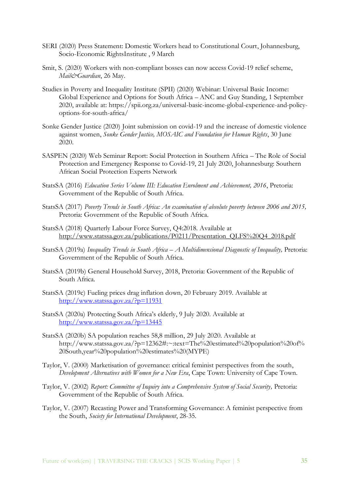- SERI (2020) Press Statement: Domestic Workers head to Constitutional Court, Johannesburg, Socio-Economic RightsInstitute , 9 March
- Smit, S. (2020) Workers with non-compliant bosses can now access Covid-19 relief scheme, *Mail&Guardian*, 26 May.
- Studies in Poverty and Inequality Institute (SPII) (2020) Webinar: Universal Basic Income: Global Experience and Options for South Africa – ANC and Guy Standing, 1 September 2020, available at: https://spii.org.za/universal-basic-income-global-experience-and-policyoptions-for-south-africa/
- Sonke Gender Justice (2020) Joint submission on covid-19 and the increase of domestic violence against women, *Sonke Gender Justice, MOSAIC and Foundation for Human Rights*, 30 June 2020.
- SASPEN (2020) Web Seminar Report: Social Protection in Southern Africa The Role of Social Protection and Emergency Response to Covid-19, 21 July 2020, Johannesburg: Southern African Social Protection Experts Network
- StatsSA (2016) *Education Series Volume III: Education Enrolment and Achievement, 2016*, Pretoria: Government of the Republic of South Africa.
- StatsSA (2017) *Poverty Trends in South Africa: An examination of absolute poverty between 2006 and 2015,* Pretoria: Government of the Republic of South Africa.
- StatsSA (2018) Quarterly Labour Force Survey, Q4:2018. Available at [http://www.statssa.gov.za/publications/P0211/Presentation\\_QLFS%20Q4\\_2018.pdf](http://www.statssa.gov.za/publications/P0211/Presentation_QLFS%20Q4_2018.pdf)
- StatsSA (2019a) *Inequality Trends in South Africa – A Multidimensional Diagnostic of Inequality,* Pretoria: Government of the Republic of South Africa.
- StatsSA (2019b) General Household Survey, 2018, Pretoria: Government of the Republic of South Africa.
- StatsSA (2019c) Fueling prices drag inflation down, 20 February 2019. Available at <http://www.statssa.gov.za/?p=11931>
- StatsSA (2020a) Protecting South Africa's elderly, 9 July 2020. Available at <http://www.statssa.gov.za/?p=13445>
- StatsSA (2020b) SA population reaches 58,8 million, 29 July 2020. Available at http://www.statssa.gov.za/?p=12362#:~:text=The%20estimated%20population%20of% 20South,year%20population%20estimates%20(MYPE)
- Taylor, V. (2000) Marketisation of governance: critical feminist perspectives from the south, *Development Alternatives with Women for a New Era*, Cape Town: University of Cape Town.
- Taylor, V. (2002) *Report: Committee of Inquiry into a Comprehensive System of Social Security,* Pretoria: Government of the Republic of South Africa.
- Taylor, V. (2007) Recasting Power and Transforming Governance: A feminist perspective from the South, *Society for International Development*, 28-35.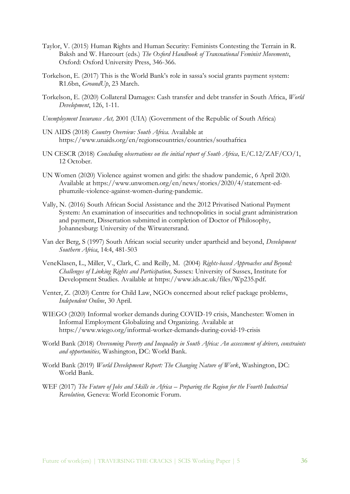- Taylor, V. (2015) Human Rights and Human Security: Feminists Contesting the Terrain in R. Baksh and W. Harcourt (eds.) *The Oxford Handbook of Transnational Feminist Movements*, Oxford: Oxford University Press, 346-366.
- Torkelson, E. (2017) This is the World Bank's role in sassa's social grants payment system: R1.6bn, *GroundUp*, 23 March.
- Torkelson, E. (2020) Collateral Damages: Cash transfer and debt transfer in South Africa, *World Development*, 126, 1-11.
- *Unemployment Insurance Act,* 2001 (UIA) (Government of the Republic of South Africa)
- UN AIDS (2018) *Country Overview: South Africa.* Available at https://www.unaids.org/en/regionscountries/countries/southafrica
- UN CESCR (2018) *Concluding observations on the initial report of South Africa, E/C.12/ZAF/CO/1,* 12 October.
- UN Women (2020) Violence against women and girls: the shadow pandemic, 6 April 2020. Available at https://www.unwomen.org/en/news/stories/2020/4/statement-edphumzile-violence-against-women-during-pandemic.
- Vally, N. (2016) South African Social Assistance and the 2012 Privatised National Payment System: An examination of insecurities and technopolitics in social grant administration and payment, Dissertation submitted in completion of Doctor of Philosophy, Johannesburg: University of the Witwatersrand.
- Van der Berg, S (1997) South African social security under apartheid and beyond, *Development Southern Africa*, 14:4, 481-503
- VeneKlasen, L., Miller, V., Clark, C. and Reilly, M. (2004) *Rights-based Approaches and Beyond: Challenges of Linking Rights and Participation,* Sussex: University of Sussex, Institute for Development Studies. Available at https://www.ids.ac.uk/files/Wp235.pdf.
- Venter, Z. (2020) Centre for Child Law, NGOs concerned about relief package problems, *Independent Online*, 30 April.
- WIEGO (2020) Informal worker demands during COVID-19 crisis, Manchester: Women in Informal Employment Globalizing and Organizing. Available at https://www.wiego.org/informal-worker-demands-during-covid-19-crisis
- World Bank (2018) *Overcoming Poverty and Inequality in South Africa: An assessment of drivers, constraints and opportunities,* Washington, DC: World Bank.
- World Bank (2019) *World Development Report: The Changing Nature of Work*, Washington, DC: World Bank.
- WEF (2017) *The Future of Jobs and Skills in Africa – Preparing the Region for the Fourth Industrial Revolution,* Geneva: World Economic Forum.